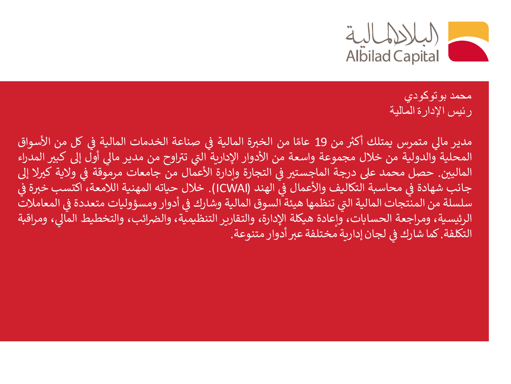

محمد بوتوكودي رئيس اإلدارة المالية

ما متمرس يمتلك ل مدير أكث من 19 ا ً عام من الخرثة المالية ف صناعة الخدمات المالية ف كل من األسواق  $\ddot{\cdot}$ ֚֚֚֬ š ֚֚֚֬ المحلية والدولية من خالل مجموعة واسعة من األدوار اإلدارية ال اوح ت تتراوح من مدير مالي أول إلى كبير المدراء<br>. المالي ي. حصل محمد عىل درجة الماجست ث ف التجارة وإدارة األعمال من جامعات مرموقة <sup>ف</sup> والية ك ثال إل š ֚֚֚֬ š جانب شهادة في محاسبة التكاليف والأعمال في الهند (ICWAI). خلال حياته المهنية اللامعة، اكتسب خبرة في<br>جانب شهادة في محاسبة التكاليف والأعمال في الهند (ICWAI). خلال حياته المهنية اللامعة، اكتسب خبرة في ֪֚֚֚֚֚֚֚֚֚֚֚֚֚֚֚֚֚֚֚֚֚֚֚֚֚֚֚֚֚֚֬֡֡֡֝֬֝֓֡֡֬֝֓֡֡֬ š ֧֦֧֦֞ ř ت تنظمها هيئة السوق المالية وشارك سلسلة من المنتجات المالية ال ف أدوار ومسؤوليات متعددة <sup>ف</sup> المعامالت S<br>S الرئيسية، ومراجعة الحسابات، وإعادة هيكلة الإدارة، والتقارير التنظيمية، والضرائب، والتخطيط المالي، ومراقبة<br>يدحده حرف المساب التكلفة. كما شارك في لجان إدارية مختلفة عبر أدوار متنوعة. š ֚֚֚֬